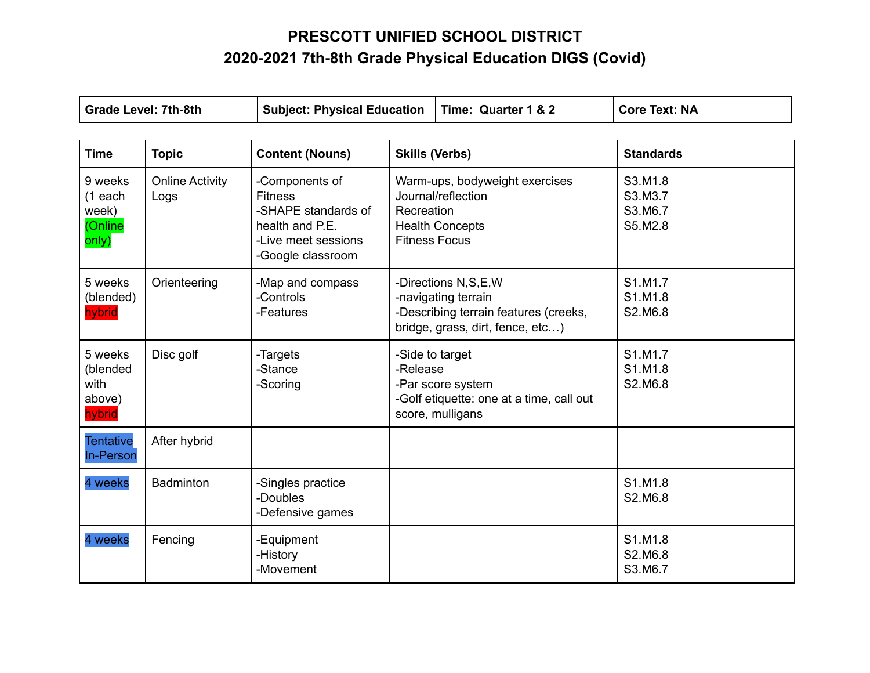## **PRESCOTT UNIFIED SCHOOL DISTRICT 2020-2021 7th-8th Grade Physical Education DIGS (Covid)**

| <b>Grade Level: 7th-8th</b>                       |                                                                 | <b>Subject: Physical Education</b>                                                                                     |                                                                                                                         | Time: Quarter 1 & 2                                                                                  | <b>Core Text: NA</b>                     |
|---------------------------------------------------|-----------------------------------------------------------------|------------------------------------------------------------------------------------------------------------------------|-------------------------------------------------------------------------------------------------------------------------|------------------------------------------------------------------------------------------------------|------------------------------------------|
| <b>Time</b>                                       | <b>Topic</b><br><b>Content (Nouns)</b><br><b>Skills (Verbs)</b> |                                                                                                                        |                                                                                                                         | <b>Standards</b>                                                                                     |                                          |
| 9 weeks<br>$(1$ each<br>week)<br>(Online<br>only) | <b>Online Activity</b><br>Logs                                  | -Components of<br><b>Fitness</b><br>-SHAPE standards of<br>health and P.E.<br>-Live meet sessions<br>-Google classroom | Recreation<br><b>Fitness Focus</b>                                                                                      | Warm-ups, bodyweight exercises<br>Journal/reflection<br><b>Health Concepts</b>                       | S3.M1.8<br>S3.M3.7<br>S3.M6.7<br>S5.M2.8 |
| 5 weeks<br>(blended)<br>hybrid                    | Orienteering                                                    | -Map and compass<br>-Controls<br>-Features                                                                             | -Directions N,S,E,W<br>-navigating terrain<br>-Describing terrain features (creeks,<br>bridge, grass, dirt, fence, etc) |                                                                                                      | S1.M1.7<br>S1.M1.8<br>S2.M6.8            |
| 5 weeks<br>(blended<br>with<br>above)<br>hybrid   | Disc golf                                                       | -Targets<br>-Stance<br>-Scoring                                                                                        | -Release                                                                                                                | -Side to target<br>-Par score system<br>-Golf etiquette: one at a time, call out<br>score, mulligans | S1.M1.7<br>S1.M1.8<br>S2.M6.8            |
| <b>Tentative</b><br><b>In-Person</b>              | After hybrid                                                    |                                                                                                                        |                                                                                                                         |                                                                                                      |                                          |
| 4 weeks                                           | <b>Badminton</b>                                                | -Singles practice<br>-Doubles<br>-Defensive games                                                                      |                                                                                                                         |                                                                                                      | S1.M1.8<br>S2.M6.8                       |
| 4 weeks                                           | Fencing                                                         | -Equipment<br>-History<br>-Movement                                                                                    |                                                                                                                         |                                                                                                      | S1.M1.8<br>S2.M6.8<br>S3.M6.7            |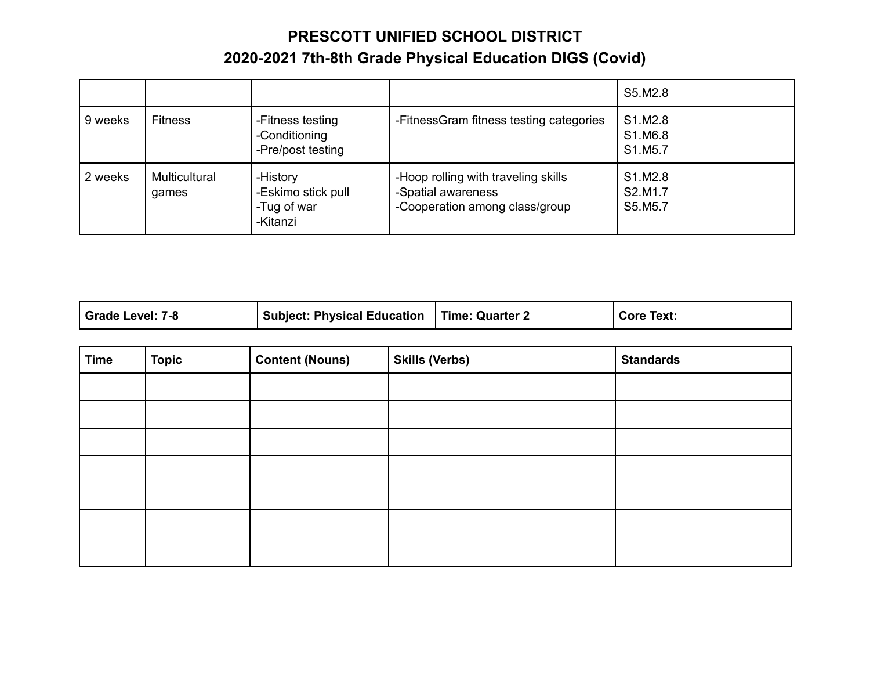## **PRESCOTT UNIFIED SCHOOL DISTRICT 2020-2021 7th-8th Grade Physical Education DIGS (Covid)**

|         |                        |                                                           |                                                                                             | S5.M2.8                       |
|---------|------------------------|-----------------------------------------------------------|---------------------------------------------------------------------------------------------|-------------------------------|
| 9 weeks | <b>Fitness</b>         | -Fitness testing<br>-Conditioning<br>-Pre/post testing    | -FitnessGram fitness testing categories                                                     | S1.M2.8<br>S1.M6.8<br>S1.M5.7 |
| 2 weeks | Multicultural<br>games | -History<br>-Eskimo stick pull<br>-Tug of war<br>-Kitanzi | -Hoop rolling with traveling skills<br>-Spatial awareness<br>-Cooperation among class/group | S1.M2.8<br>S2.M1.7<br>S5.M5.7 |

| Grade Level: 7-8<br><b>Subject: Physical Education</b> | Time: Quarter 2 | <b>Core Text:</b> |
|--------------------------------------------------------|-----------------|-------------------|
|--------------------------------------------------------|-----------------|-------------------|

| <b>Time</b> | <b>Topic</b> | <b>Content (Nouns)</b> | <b>Skills (Verbs)</b> | <b>Standards</b> |
|-------------|--------------|------------------------|-----------------------|------------------|
|             |              |                        |                       |                  |
|             |              |                        |                       |                  |
|             |              |                        |                       |                  |
|             |              |                        |                       |                  |
|             |              |                        |                       |                  |
|             |              |                        |                       |                  |
|             |              |                        |                       |                  |